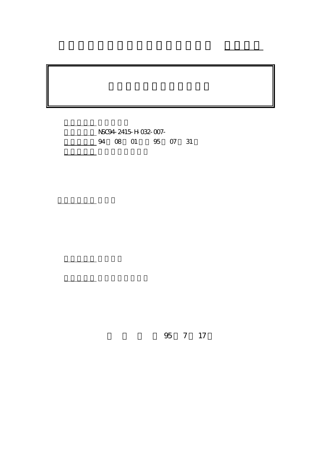NSC94-2415-H-032-007-4 08 01 95 07 31

執行單位: 淡江大學經濟學系

計畫主持人: 陳炤良

報告類型: 精簡報告

。<br>在前書 : 本計畫可公開查詢

行政院國家科學委員會專題研究計畫 成果報告

95 7 17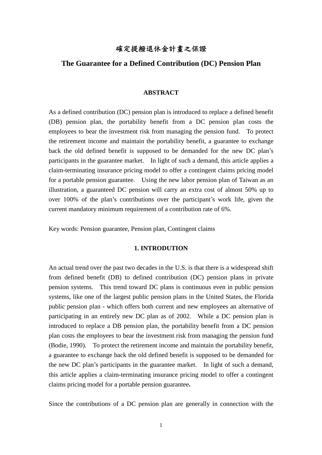# 確定提撥退休金計畫之保證

## **The Guarantee for a Defined Contribution (DC) Pension Plan**

#### **ABSTRACT**

As a defined contribution (DC) pension plan is introduced to replace a defined benefit (DB) pension plan, the portability benefit from a DC pension plan costs the employees to bear the investment risk from managing the pension fund. To protect the retirement income and maintain the portability benefit, a guarantee to exchange back the old defined benefit is supposed to be demanded for the new DC plan's participants in the guarantee market. In light of such a demand, this article applies a claim-terminating insurance pricing model to offer a contingent claims pricing model for a portable pension guarantee. Using the new labor pension plan of Taiwan as an illustration, a guaranteed DC pension will carry an extra cost of almost 50% up to over 100% of the plan's contributions over the participant's work life, given the current mandatory minimum requirement of a contribution rate of 6%.

Key words: Pension guarantee, Pension plan, Contingent claims

### **1. INTRODUTION**

An actual trend over the past two decades in the U.S. is that there is a widespread shift from defined benefit (DB) to defined contribution (DC) pension plans in private pension systems. This trend toward DC plans is continuous even in public pension systems, like one of the largest public pension plans in the United States, the Florida public pension plan - which offers both current and new employees an alternative of participating in an entirely new DC plan as of 2002. While a DC pension plan is introduced to replace a DB pension plan, the portability benefit from a DC pension plan costs the employees to bear the investment risk from managing the pension fund (Bodie, 1990). To protect the retirement income and maintain the portability benefit, a guarantee to exchange back the old defined benefit is supposed to be demanded for the new DC plan's participants in the guarantee market. In light of such a demand, this article applies a claim-terminating insurance pricing model to offer a contingent claims pricing model for a portable pension guarantee**.**

Since the contributions of a DC pension plan are generally in connection with the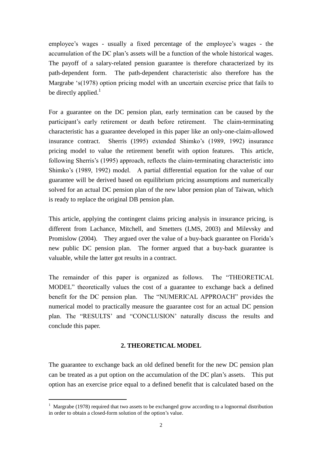employee's wages - usually a fixed percentage of the employee's wages - the accumulation of the DC plan's assets will be a function of the whole historical wages. The payoff of a salary-related pension guarantee is therefore characterized by its path-dependent form. The path-dependent characteristic also therefore has the Margrabe 's(1978) option pricing model with an uncertain exercise price that fails to be directly applied. $<sup>1</sup>$ </sup>

For a guarantee on the DC pension plan, early termination can be caused by the participant's early retirement or death before retirement. The claim-terminating characteristic has a guarantee developed in this paper like an only-one-claim-allowed insurance contract. Sherris (1995) extended Shimko's (1989, 1992) insurance pricing model to value the retirement benefit with option features. This article, following Sherris's (1995) approach, reflects the claim-terminating characteristic into Shimko's (1989, 1992) model. A partial differential equation for the value of our guarantee will be derived based on equilibrium pricing assumptions and numerically solved for an actual DC pension plan of the new labor pension plan of Taiwan, which is ready to replace the original DB pension plan.

This article, applying the contingent claims pricing analysis in insurance pricing, is different from Lachance, Mitchell, and Smetters (LMS, 2003) and Milevsky and Promislow (2004). They argued over the value of a buy-back guarantee on Florida's new public DC pension plan. The former argued that a buy-back guarantee is valuable, while the latter got results in a contract.

The remainder of this paper is organized as follows. The "THEORETICAL MODEL" theoretically values the cost of a guarantee to exchange back a defined benefit for the DC pension plan. The "NUMERICAL APPROACH" provides the numerical model to practically measure the guarantee cost for an actual DC pension plan. The "RESULTS' and "CONCLUSION' naturally discuss the results and conclude this paper.

## **2. THEORETICAL MODEL**

The guarantee to exchange back an old defined benefit for the new DC pension plan can be treated as a put option on the accumulation of the DC plan's assets. This put option has an exercise price equal to a defined benefit that is calculated based on the

<sup>&</sup>lt;sup>1</sup> Margrabe (1978) required that two assets to be exchanged grow according to a lognormal distribution in order to obtain a closed-form solution of the option's value.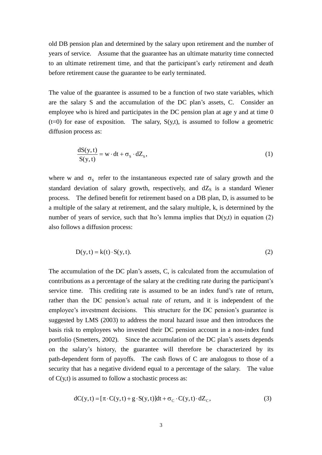old DB pension plan and determined by the salary upon retirement and the number of years of service. Assume that the guarantee has an ultimate maturity time connected to an ultimate retirement time, and that the participant's early retirement and death before retirement cause the guarantee to be early terminated.

The value of the guarantee is assumed to be a function of two state variables, which are the salary S and the accumulation of the DC plan's assets, C. Consider an employee who is hired and participates in the DC pension plan at age y and at time 0  $(t=0)$  for ease of exposition. The salary,  $S(y,t)$ , is assumed to follow a geometric diffusion process as:

$$
\frac{dS(y,t)}{S(y,t)} = w \cdot dt + \sigma_s \cdot dZ_s,
$$
\n(1)

where w and  $\sigma_s$  refer to the instantaneous expected rate of salary growth and the standard deviation of salary growth, respectively, and  $dZ_s$  is a standard Wiener process. The defined benefit for retirement based on a DB plan, D, is assumed to be a multiple of the salary at retirement, and the salary multiple, k, is determined by the number of years of service, such that Ito's lemma implies that  $D(y,t)$  in equation (2) also follows a diffusion process:

$$
D(y,t) = k(t) \cdot S(y,t). \tag{2}
$$

The accumulation of the DC plan's assets, C, is calculated from the accumulation of contributions as a percentage of the salary at the crediting rate during the participant's service time. This crediting rate is assumed to be an index fund's rate of return, rather than the DC pension's actual rate of return, and it is independent of the employee's investment decisions. This structure for the DC pension's guarantee is suggested by LMS (2003) to address the moral hazard issue and then introduces the basis risk to employees who invested their DC pension account in a non-index fund portfolio (Smetters, 2002). Since the accumulation of the DC plan's assets depends on the salary's history, the guarantee will therefore be characterized by its path-dependent form of payoffs. The cash flows of C are analogous to those of a security that has a negative dividend equal to a percentage of the salary. The value of  $C(y,t)$  is assumed to follow a stochastic process as:

$$
dC(y,t) = [\pi \cdot C(y,t) + g \cdot S(y,t)]dt + \sigma_C \cdot C(y,t) \cdot dZ_C,
$$
\n(3)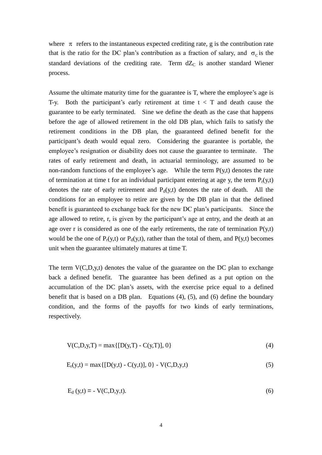where  $\pi$  refers to the instantaneous expected crediting rate, g is the contribution rate that is the ratio for the DC plan's contribution as a fraction of salary, and  $\sigma_c$  is the standard deviations of the crediting rate. Term  $dZ_C$  is another standard Wiener process.

Assume the ultimate maturity time for the guarantee is T, where the employee's age is T-y. Both the participant's early retirement at time  $t < T$  and death cause the guarantee to be early terminated. Sine we define the death as the case that happens before the age of allowed retirement in the old DB plan, which fails to satisfy the retirement conditions in the DB plan, the guaranteed defined benefit for the participant's death would equal zero. Considering the guarantee is portable, the employee's resignation or disability does not cause the guarantee to terminate. The rates of early retirement and death, in actuarial terminology, are assumed to be non-random functions of the employee's age. While the term  $P(y,t)$  denotes the rate of termination at time t for an individual participant entering at age y, the term  $P_r(y,t)$ denotes the rate of early retirement and  $P_d(y,t)$  denotes the rate of death. All the conditions for an employee to retire are given by the DB plan in that the defined benefit is guaranteed to exchange back for the new DC plan's participants. Since the age allowed to retire, r, is given by the participant's age at entry, and the death at an age over r is considered as one of the early retirements, the rate of termination  $P(y,t)$ would be the one of  $P_r(y,t)$  or  $P_d(y,t)$ , rather than the total of them, and  $P(y,t)$  becomes unit when the guarantee ultimately matures at time T.

The term  $V(C, D, y, t)$  denotes the value of the guarantee on the DC plan to exchange back a defined benefit. The guarantee has been defined as a put option on the accumulation of the DC plan's assets, with the exercise price equal to a defined benefit that is based on a DB plan. Equations (4), (5), and (6) define the boundary condition, and the forms of the payoffs for two kinds of early terminations, respectively.

$$
V(C, D, y, T) = max\{[D(y, T) - C(y, T)], 0\}
$$
\n(4)

$$
E_r(y,t) = \max\{[D(y,t) - C(y,t)], 0\} - V(C,D,y,t)
$$
\n(5)

$$
E_{d}(y,t) = -V(C,D,y,t).
$$
 (6)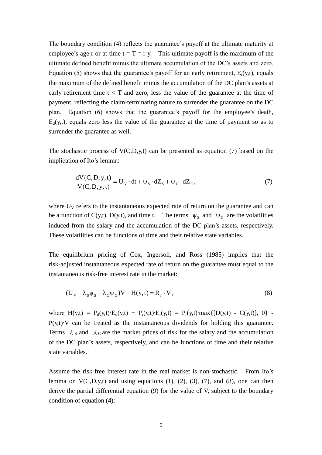The boundary condition (4) reflects the guarantee's payoff at the ultimate maturity at employee's age r or at time  $t = T = r-y$ . This ultimate payoff is the maximum of the ultimate defined benefit minus the ultimate accumulation of the DC's assets and zero. Equation (5) shows that the guarantee's payoff for an early retirement,  $E_r(y,t)$ , equals the maximum of the defined benefit minus the accumulation of the DC plan's assets at early retirement time  $t < T$  and zero, less the value of the guarantee at the time of payment, reflecting the claim-terminating nature to surrender the guarantee on the DC plan. Equation (6) shows that the guarantee's payoff for the employee's death,  $E_d(y,t)$ , equals zero less the value of the guarantee at the time of payment so as to surrender the guarantee as well.

The stochastic process of  $V(C, D, y, t)$  can be presented as equation (7) based on the implication of Ito's lemma:

$$
\frac{dV(C, D, y, t)}{V(C, D, y, t)} = U_v \cdot dt + \psi_s \cdot dZ_s + \psi_c \cdot dZ_c,
$$
\n(7)

where  $U_V$  refers to the instantaneous expected rate of return on the guarantee and can be a function of C(y,t), D(y,t), and time t. The terms  $\psi_s$  and  $\psi_c$  are the volatilities induced from the salary and the accumulation of the DC plan's assets, respectively. These volatilities can be functions of time and their relative state variables.

The equilibrium pricing of Cox, Ingersoll, and Ross (1985) implies that the risk-adjusted instantaneous expected rate of return on the guarantee must equal to the instantaneous risk-free interest rate in the market:

$$
(U_V - \lambda_S \psi_S - \lambda_C \psi_C)V + H(y, t) = R_f \cdot V,
$$
\n(8)

where  $H(y,t) = P_d(y,t) \cdot E_d(y,t) + P_r(y,t) \cdot E_r(y,t) = P_r(y,t) \cdot max\{[D(y,t) - C(y,t)], 0\}$  $P(y,t)\cdot V$  can be treated as the instantaneous dividends for holding this guarantee. Terms  $\lambda_S$  and  $\lambda_C$  are the market prices of risk for the salary and the accumulation of the DC plan's assets, respectively, and can be functions of time and their relative state variables.

Assume the risk-free interest rate in the real market is non-stochastic. From Ito's lemma on  $V(C, D, y, t)$  and using equations (1), (2), (3), (7), and (8), one can then derive the partial differential equation (9) for the value of V, subject to the boundary condition of equation (4):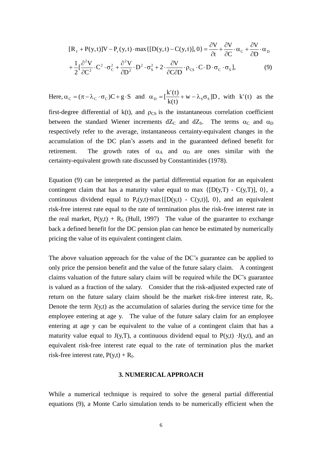$$
[\mathbf{R}_{\rm f} + \mathbf{P}(\mathbf{y}, t)]\mathbf{V} - \mathbf{P}_{\rm r}(\mathbf{y}, t) \cdot \max\{[\mathbf{D}(\mathbf{y}, t) - \mathbf{C}(\mathbf{y}, t)], 0\} = \frac{\partial \mathbf{V}}{\partial t} + \frac{\partial \mathbf{V}}{\partial C} \cdot \alpha_{\rm c} + \frac{\partial \mathbf{V}}{\partial D} \cdot \alpha_{\rm D}
$$

$$
+ \frac{1}{2} [\frac{\partial^2 \mathbf{V}}{\partial C^2} \cdot C^2 \cdot \sigma_{\rm c}^2 + \frac{\partial^2 \mathbf{V}}{\partial D^2} \cdot D^2 \cdot \sigma_{\rm s}^2 + 2 \cdot \frac{\partial \mathbf{V}}{\partial C \partial D} \cdot \rho_{\rm cs} \cdot C \cdot D \cdot \sigma_{\rm c} \cdot \sigma_{\rm s}], \tag{9}
$$

Here,  $\alpha_C = (\pi - \lambda_C \cdot \sigma_C)C + g \cdot S$  and  $\alpha_D = \left[\frac{K(t)}{1-(t)} + w - \lambda_S \sigma_S\right]D$  $k(t)$  $\alpha_{\rm D} = \left[\frac{k'(t)}{k'(t)} + w - \lambda_{\rm S}\sigma_{\rm S}\right]D$ , with  $k'(t)$  as the

first-degree differential of  $k(t)$ , and  $\rho_{CS}$  is the instantaneous correlation coefficient between the standard Wiener increments  $dZ_C$  and  $dZ_S$ . The terms  $\alpha_C$  and  $\alpha_D$ respectively refer to the average, instantaneous certainty-equivalent changes in the accumulation of the DC plan's assets and in the guaranteed defined benefit for retirement. The growth rates of  $\alpha_A$  and  $\alpha_D$  are ones similar with the certainty-equivalent growth rate discussed by Constantinides (1978).

Equation (9) can be interpreted as the partial differential equation for an equivalent contingent claim that has a maturity value equal to max  $\{[D(y,T) - C(y,T)], 0\}$ , a continuous dividend equal to  $P_r(y,t)$  max { $[D(y,t) - C(y,t)]$ , 0}, and an equivalent risk-free interest rate equal to the rate of termination plus the risk-free interest rate in the real market,  $P(y,t) + R_f$ . (Hull, 1997) The value of the guarantee to exchange back a defined benefit for the DC pension plan can hence be estimated by numerically pricing the value of its equivalent contingent claim.

The above valuation approach for the value of the DC's guarantee can be applied to only price the pension benefit and the value of the future salary claim. A contingent claims valuation of the future salary claim will be required while the DC's guarantee is valued as a fraction of the salary. Consider that the risk-adjusted expected rate of return on the future salary claim should be the market risk-free interest rate,  $R_f$ . Denote the term  $J(y,t)$  as the accumulation of salaries during the service time for the employee entering at age y. The value of the future salary claim for an employee entering at age y can be equivalent to the value of a contingent claim that has a maturity value equal to  $J(y,T)$ , a continuous dividend equal to  $P(y,t) \cdot J(y,t)$ , and an equivalent risk-free interest rate equal to the rate of termination plus the market risk-free interest rate,  $P(y,t) + R_f$ .

#### **3. NUMERICAL APPROACH**

While a numerical technique is required to solve the general partial differential equations (9), a Monte Carlo simulation tends to be numerically efficient when the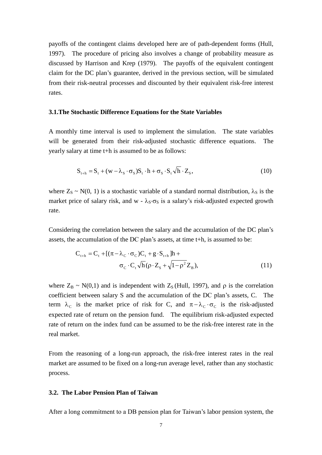payoffs of the contingent claims developed here are of path-dependent forms (Hull, 1997). The procedure of pricing also involves a change of probability measure as discussed by Harrison and Krep (1979). The payoffs of the equivalent contingent claim for the DC plan's guarantee, derived in the previous section, will be simulated from their risk-neutral processes and discounted by their equivalent risk-free interest rates.

#### **3.1.The Stochastic Difference Equations for the State Variables**

A monthly time interval is used to implement the simulation. The state variables will be generated from their risk-adjusted stochastic difference equations. The yearly salary at time t+h is assumed to be as follows:

$$
S_{t+h} = S_t + (w - \lambda_s \cdot \sigma_s) S_t \cdot h + \sigma_s \cdot S_t \sqrt{h} \cdot Z_s, \qquad (10)
$$

where  $Z_s \sim N(0, 1)$  is a stochastic variable of a standard normal distribution,  $\lambda_s$  is the market price of salary risk, and w -  $\lambda_S \sigma_S$  is a salary's risk-adjusted expected growth rate.

Considering the correlation between the salary and the accumulation of the DC plan's assets, the accumulation of the DC plan's assets, at time  $t+h$ , is assumed to be:

$$
C_{t+h} = C_t + [(\pi - \lambda_C \cdot \sigma_C)C_t + g \cdot S_{t+h}]h + \sigma_C \cdot C_t \sqrt{h} (\rho \cdot Z_s + \sqrt{1 - \rho^2} Z_B),
$$
\n(11)

where  $Z_B \sim N(0,1)$  and is independent with  $Z_S$  (Hull, 1997), and  $\rho$  is the correlation coefficient between salary S and the accumulation of the DC plan's assets, C. The term  $\lambda_c$  is the market price of risk for C, and  $\pi - \lambda_c \cdot \sigma_c$  is the risk-adjusted expected rate of return on the pension fund. The equilibrium risk-adjusted expected rate of return on the index fund can be assumed to be the risk-free interest rate in the real market.

From the reasoning of a long-run approach, the risk-free interest rates in the real market are assumed to be fixed on a long-run average level, rather than any stochastic process.

#### **3.2. The Labor Pension Plan of Taiwan**

After a long commitment to a DB pension plan for Taiwan's labor pension system, the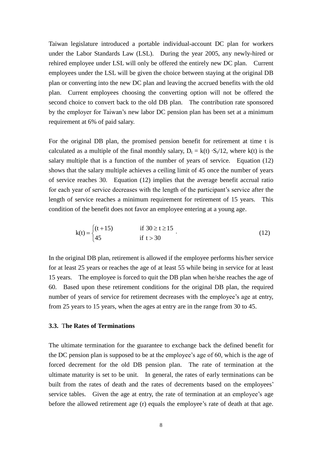Taiwan legislature introduced a portable individual-account DC plan for workers under the Labor Standards Law (LSL). During the year 2005, any newly-hired or rehired employee under LSL will only be offered the entirely new DC plan. Current employees under the LSL will be given the choice between staying at the original DB plan or converting into the new DC plan and leaving the accrued benefits with the old plan. Current employees choosing the converting option will not be offered the second choice to convert back to the old DB plan. The contribution rate sponsored by the employer for Taiwan's new labor DC pension plan has been set at a minimum requirement at 6% of paid salary.

For the original DB plan, the promised pension benefit for retirement at time t is calculated as a multiple of the final monthly salary,  $D_t = k(t) \cdot S_t/12$ , where k(t) is the salary multiple that is a function of the number of years of service. Equation (12) shows that the salary multiple achieves a ceiling limit of 45 once the number of years of service reaches 30. Equation (12) implies that the average benefit accrual ratio for each year of service decreases with the length of the participant's service after the length of service reaches a minimum requirement for retirement of 15 years. This condition of the benefit does not favor an employee entering at a young age.

$$
k(t) = \begin{cases} (t+15) & \text{if } 30 \ge t \ge 15 \\ 45 & \text{if } t > 30 \end{cases}
$$
 (12)

In the original DB plan, retirement is allowed if the employee performs his/her service for at least 25 years or reaches the age of at least 55 while being in service for at least 15 years. The employee is forced to quit the DB plan when he/she reaches the age of 60. Based upon these retirement conditions for the original DB plan, the required number of years of service for retirement decreases with the employee's age at entry, from 25 years to 15 years, when the ages at entry are in the range from 30 to 45.

### **3.3.** T**he Rates of Terminations**

The ultimate termination for the guarantee to exchange back the defined benefit for the DC pension plan is supposed to be at the employee's age of 60, which is the age of forced decrement for the old DB pension plan. The rate of termination at the ultimate maturity is set to be unit. In general, the rates of early terminations can be built from the rates of death and the rates of decrements based on the employees' service tables. Given the age at entry, the rate of termination at an employee's age before the allowed retirement age (r) equals the employee's rate of death at that age.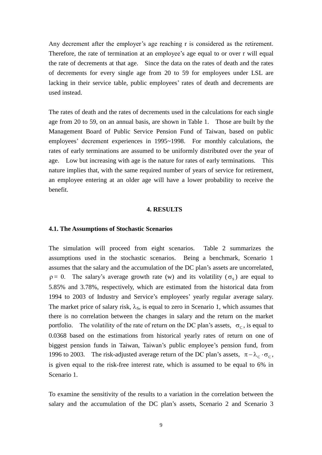Any decrement after the employer's age reaching r is considered as the retirement. Therefore, the rate of termination at an employee's age equal to or over r will equal the rate of decrements at that age. Since the data on the rates of death and the rates of decrements for every single age from 20 to 59 for employees under LSL are lacking in their service table, public employees' rates of death and decrements are used instead.

The rates of death and the rates of decrements used in the calculations for each single age from 20 to 59, on an annual basis, are shown in Table 1. Those are built by the Management Board of Public Service Pension Fund of Taiwan, based on public employees' decrement experiences in 1995~1998. For monthly calculations, the rates of early terminations are assumed to be uniformly distributed over the year of age. Low but increasing with age is the nature for rates of early terminations. This nature implies that, with the same required number of years of service for retirement, an employee entering at an older age will have a lower probability to receive the benefit.

#### **4. RESULTS**

#### **4.1. The Assumptions of Stochastic Scenarios**

The simulation will proceed from eight scenarios. Table 2 summarizes the assumptions used in the stochastic scenarios. Being a benchmark, Scenario 1 assumes that the salary and the accumulation of the DC plan's assets are uncorrelated,  $\rho = 0$ . The salary's average growth rate (w) and its volatility ( $\sigma_s$ ) are equal to 5.85% and 3.78%, respectively, which are estimated from the historical data from 1994 to 2003 of Industry and Service's employees'yearly regular average salary. The market price of salary risk,  $\lambda_s$ , is equal to zero in Scenario 1, which assumes that there is no correlation between the changes in salary and the return on the market portfolio. The volatility of the rate of return on the DC plan's assets,  $\sigma_c$ , is equal to 0.0368 based on the estimations from historical yearly rates of return on one of biggest pension funds in Taiwan, Taiwan's public employee's pension fund, from 1996 to 2003. The risk-adjusted average return of the DC plan's assets,  $\pi - \lambda_c \cdot \sigma_c$ , is given equal to the risk-free interest rate, which is assumed to be equal to 6% in Scenario 1.

To examine the sensitivity of the results to a variation in the correlation between the salary and the accumulation of the DC plan's assets, Scenario 2 and Scenario 3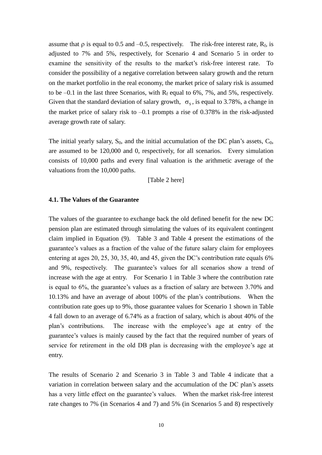assume that  $\rho$  is equal to 0.5 and –0.5, respectively. The risk-free interest rate,  $R_f$ , is adjusted to 7% and 5%, respectively, for Scenario 4 and Scenario 5 in order to examine the sensitivity of the results to the market's risk-free interest rate. To consider the possibility of a negative correlation between salary growth and the return on the market portfolio in the real economy, the market price of salary risk is assumed to be  $-0.1$  in the last three Scenarios, with  $R_f$  equal to 6%, 7%, and 5%, respectively. Given that the standard deviation of salary growth,  $\sigma_s$ , is equal to 3.78%, a change in the market price of salary risk to  $-0.1$  prompts a rise of 0.378% in the risk-adjusted average growth rate of salary.

The initial yearly salary,  $S_0$ , and the initial accumulation of the DC plan's assets,  $C_0$ , are assumed to be 120,000 and 0, respectively, for all scenarios. Every simulation consists of 10,000 paths and every final valuation is the arithmetic average of the valuations from the 10,000 paths.

[Table 2 here]

## **4.1. The Values of the Guarantee**

The values of the guarantee to exchange back the old defined benefit for the new DC pension plan are estimated through simulating the values of its equivalent contingent claim implied in Equation (9). Table 3 and Table 4 present the estimations of the guarantee's values as a fraction of the value of the future salary claim for employees entering at ages 20, 25, 30, 35, 40, and 45, given the DC's contribution rate equals  $6\%$ and 9%, respectively. The guarantee's values for all scenarios show a trend of increase with the age at entry. For Scenario 1 in Table 3 where the contribution rate is equal to 6%, the guarantee's values as a fraction of salary are between 3.70% and 10.13% and have an average of about 100% of the plan's contributions. When the contribution rate goes up to 9%, those guarantee values for Scenario 1 shown in Table 4 fall down to an average of 6.74% as a fraction of salary, which is about 40% of the plan's contributions. The increase with the employee's age at entry of the guarantee's values is mainly caused by the fact that the required number of years of service for retirement in the old DB plan is decreasing with the employee's age at entry.

The results of Scenario 2 and Scenario 3 in Table 3 and Table 4 indicate that a variation in correlation between salary and the accumulation of the DC plan's assets has a very little effect on the guarantee's values. When the market risk-free interest rate changes to 7% (in Scenarios 4 and 7) and 5% (in Scenarios 5 and 8) respectively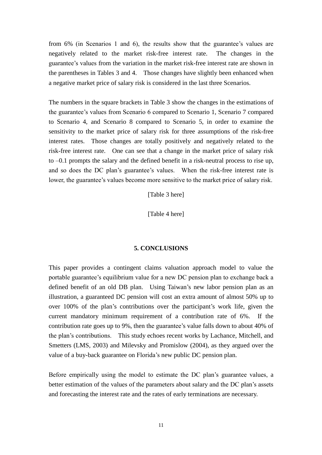from 6% (in Scenarios 1 and 6), the results show that the guarantee's values are negatively related to the market risk-free interest rate. The changes in the guarantee's values from the variation in the market risk-free interest rate are shown in the parentheses in Tables 3 and 4. Those changes have slightly been enhanced when a negative market price of salary risk is considered in the last three Scenarios.

The numbers in the square brackets in Table 3 show the changes in the estimations of the guarantee's values from Scenario 6 compared to Scenario 1, Scenario 7 compared to Scenario 4, and Scenario 8 compared to Scenario 5, in order to examine the sensitivity to the market price of salary risk for three assumptions of the risk-free interest rates. Those changes are totally positively and negatively related to the risk-free interest rate. One can see that a change in the market price of salary risk to –0.1 prompts the salary and the defined benefit in a risk-neutral process to rise up, and so does the DC plan's guarantee's values. When the risk-free interest rate is lower, the guarantee's values become more sensitive to the market price of salary risk.

[Table 3 here]

[Table 4 here]

#### **5. CONCLUSIONS**

This paper provides a contingent claims valuation approach model to value the portable guarantee's equilibrium value for a new DC pension plan to exchange back a defined benefit of an old DB plan. Using Taiwan's new labor pension plan as an illustration, a guaranteed DC pension will cost an extra amount of almost 50% up to over 100% of the plan's contributions over the participant's work life, given the current mandatory minimum requirement of a contribution rate of 6%. If the contribution rate goes up to 9%, then theguarantee's value falls down to about 40% of the plan's contributions. This study echoes recent works by Lachance, Mitchell, and Smetters (LMS, 2003) and Milevsky and Promislow (2004), as they argued over the value of a buy-back guarantee on Florida's new public DC pension plan.

Before empirically using the model to estimate the DC plan's guarantee values, a better estimation of the values of the parameters about salary and the DC plan's assets and forecasting the interest rate and the rates of early terminations are necessary.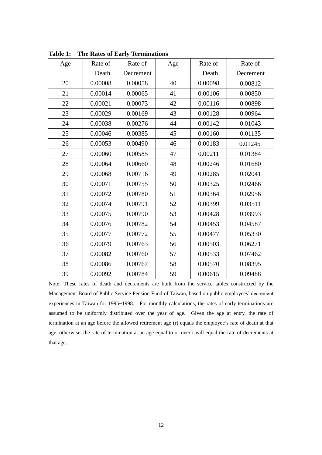| Age | Rate of | Rate of   | Age | Rate of | Rate of   |
|-----|---------|-----------|-----|---------|-----------|
|     | Death   | Decrement |     | Death   | Decrement |
| 20  | 0.00008 | 0.00058   | 40  | 0.00098 | 0.00812   |
| 21  | 0.00014 | 0.00065   | 41  | 0.00106 | 0.00850   |
| 22  | 0.00021 | 0.00073   | 42  | 0.00116 | 0.00898   |
| 23  | 0.00029 | 0.00169   | 43  | 0.00128 | 0.00964   |
| 24  | 0.00038 | 0.00276   | 44  | 0.00142 | 0.01043   |
| 25  | 0.00046 | 0.00385   | 45  | 0.00160 | 0.01135   |
| 26  | 0.00053 | 0.00490   | 46  | 0.00183 | 0.01245   |
| 27  | 0.00060 | 0.00585   | 47  | 0.00211 | 0.01384   |
| 28  | 0.00064 | 0.00660   | 48  | 0.00246 | 0.01680   |
| 29  | 0.00068 | 0.00716   | 49  | 0.00285 | 0.02041   |
| 30  | 0.00071 | 0.00755   | 50  | 0.00325 | 0.02466   |
| 31  | 0.00072 | 0.00780   | 51  | 0.00364 | 0.02956   |
| 32  | 0.00074 | 0.00791   | 52  | 0.00399 | 0.03511   |
| 33  | 0.00075 | 0.00790   | 53  | 0.00428 | 0.03993   |
| 34  | 0.00076 | 0.00782   | 54  | 0.00453 | 0.04587   |
| 35  | 0.00077 | 0.00772   | 55  | 0.00477 | 0.05330   |
| 36  | 0.00079 | 0.00763   | 56  | 0.00503 | 0.06271   |
| 37  | 0.00082 | 0.00760   | 57  | 0.00533 | 0.07462   |
| 38  | 0.00086 | 0.00767   | 58  | 0.00570 | 0.08395   |
| 39  | 0.00092 | 0.00784   | 59  | 0.00615 | 0.09488   |

**Table 1: The Rates of Early Terminations**

Note: These rates of death and decrements are built from the service tables constructed by the Management Board of Public Service Pension Fund of Taiwan, based on public employees'decrement experiences in Taiwan for 1995~1998. For monthly calculations, the rates of early terminations are assumed to be uniformly distributed over the year of age. Given the age at entry, the rate of termination at an age before the allowed retirement age (r) equals the employee's rate of death at that age; otherwise, the rate of termination at an age equal to or over r will equal the rate of decrements at that age.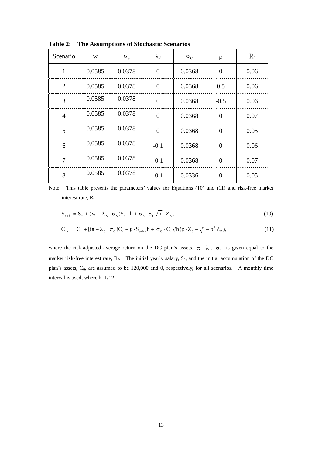| Scenario       | W      | $\sigma_{\rm s}$ | $\lambda$ s    | $\sigma_{\rm c}$ | $\rho$         | $R_f$ |
|----------------|--------|------------------|----------------|------------------|----------------|-------|
| $\mathbf{1}$   | 0.0585 | 0.0378           | $\overline{0}$ | 0.0368           | $\overline{0}$ | 0.06  |
| 2              | 0.0585 | 0.0378           | $\overline{0}$ | 0.0368           | 0.5            | 0.06  |
| $\overline{3}$ | 0.0585 | 0.0378           | $\overline{0}$ | 0.0368           | $-0.5$         | 0.06  |
| $\overline{4}$ | 0.0585 | 0.0378           | $\overline{0}$ | 0.0368           | $\overline{0}$ | 0.07  |
| 5              | 0.0585 | 0.0378           | $\overline{0}$ | 0.0368           | $\overline{0}$ | 0.05  |
| 6              | 0.0585 | 0.0378           | $-0.1$         | 0.0368           | $\overline{0}$ | 0.06  |
| $\overline{7}$ | 0.0585 | 0.0378           | $-0.1$         | 0.0368           | $\overline{0}$ | 0.07  |
| 8              | 0.0585 | 0.0378           | $-0.1$         | 0.0336           | $\theta$       | 0.05  |

**Table 2: The Assumptions of Stochastic Scenarios**

Note: This table presents the parameters' values for Equations (10) and (11) and risk-free market interest rate,  $R_f$ .

$$
S_{t+h} = S_t + (w - \lambda_s \cdot \sigma_s)S_t \cdot h + \sigma_s \cdot S_t \sqrt{h} \cdot Z_s,
$$
\n(10)

$$
\mathbf{C}_{t+h} = \mathbf{C}_t + [(\pi - \lambda_C \cdot \sigma_C)\mathbf{C}_t + g \cdot \mathbf{S}_{t+h}]h + \sigma_C \cdot \mathbf{C}_t \sqrt{h} (\rho \cdot \mathbf{Z}_s + \sqrt{1 - \rho^2} \mathbf{Z}_B), \tag{11}
$$

where the risk-adjusted average return on the DC plan's assets,  $\pi - \lambda_c \cdot \sigma_c$ , is given equal to the market risk-free interest rate,  $R_f$ . The initial yearly salary,  $S_0$ , and the initial accumulation of the DC plan's assets,  $C_0$ , are assumed to be 120,000 and 0, respectively, for all scenarios. A monthly time interval is used, where h=1/12.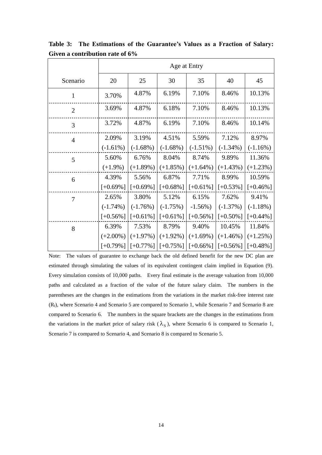|                | Age at Entry |             |             |             |             |             |
|----------------|--------------|-------------|-------------|-------------|-------------|-------------|
| Scenario       | 20           | 25          | 30          | 35          | 40          | 45          |
| $\mathbf{1}$   | 3.70%        | 4.87%       | 6.19%       | 7.10%       | 8.46%       | 10.13%      |
| $\overline{2}$ | 3.69%        | 4.87%       | 6.18%       | 7.10%       | 8.46%       | 10.13%      |
| 3              | 3.72%        | 4.87%       | 6.19%       | 7.10%       | 8.46%       | 10.14%      |
| $\overline{4}$ | 2.09%        | 3.19%       | 4.51%       | 5.59%       | 7.12%       | 8.97%       |
|                | $(-1.61\%)$  | $(-1.68%)$  | $(-1.68\%)$ | $(-1.51\%)$ | $(-1.34\%)$ | $(-1.16%)$  |
| 5              | 5.60%        | 6.76%       | 8.04%       | 8.74%       | 9.89%       | 11.36%      |
|                | $(+1.9\%)$   | $(+1.89\%)$ | $(+1.85%)$  | $(+1.64\%)$ | $(+1.43%)$  | $(+1.23%)$  |
| 6              | 4.39%        | 5.56%       | 6.87%       | 7.71%       | 8.99%       | 10.59%      |
|                | $[+0.69\%]$  | $[+0.69\%]$ | $[+0.68\%]$ | $[-0.61\%]$ | $[-0.53\%]$ | $[-0.46\%]$ |
| $\tau$         | 2.65%        | 3.80%       | 5.12%       | 6.15%       | 7.62%       | 9.41%       |
|                | $(-1.74\%)$  | $(-1.76%)$  | $(-1.75%)$  | $-1.56\%$ ) | $(-1.37%)$  | $(-1.18\%)$ |
|                | $[-0.56\%]$  | $[-0.61\%]$ | $[-0.61\%]$ | $[-0.56\%]$ | $[+0.50\%]$ | $[-0.44\%]$ |
| 8              | 6.39%        | 7.53%       | 8.79%       | 9.40%       | 10.45%      | 11.84%      |
|                | $(+2.00\%)$  | $(+1.97%)$  | $(+1.92\%)$ | $(+1.69\%)$ | $(+1.46%)$  | $(+1.25%)$  |
|                | $[-0.79\%]$  | $[-0.77\%]$ | $[-0.75\%]$ | $[-0.66\%]$ | $[-0.56\%]$ | $[-0.48\%]$ |

Table 3: The Estimations of the Guarantee's Values as a Fraction of Salary: **Given a contribution rate of 6%**

Note: The values of guarantee to exchange back the old defined benefit for the new DC plan are estimated through simulating the values of its equivalent contingent claim implied in Equation (9). Every simulation consists of 10,000 paths. Every final estimate is the average valuation from 10,000 paths and calculated as a fraction of the value of the future salary claim. The numbers in the parentheses are the changes in the estimations from the variations in the market risk-free interest rate  $(R_f)$ , where Scenario 4 and Scenario 5 are compared to Scenario 1, while Scenario 7 and Scenario 8 are compared to Scenario 6. The numbers in the square brackets are the changes in the estimations from the variations in the market price of salary risk  $(\lambda_s)$ , where Scenario 6 is compared to Scenario 1, Scenario 7 is compared to Scenario 4, and Scenario 8 is compared to Scenario 5.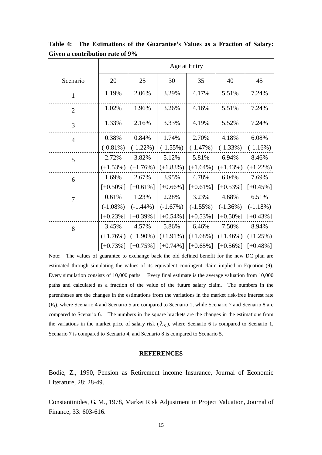|                | Age at Entry |             |             |             |             |                         |
|----------------|--------------|-------------|-------------|-------------|-------------|-------------------------|
| Scenario       | 20           | 25          | 30          | 35          | 40          | 45                      |
| $\mathbf{1}$   | 1.19%        | 2.06%       | 3.29%       | 4.17%       | 5.51%       | 7.24%                   |
| $\overline{2}$ | 1.02%        | 1.96%       | 3.26%       | 4.16%       | 5.51%       | 7.24%                   |
| 3              | 1.33%        | 2.16%       | 3.33%       | 4.19%       | 5.52%       | 7.24%                   |
| $\overline{4}$ | 0.38%        | 0.84%       | 1.74%       | 2.70%       | 4.18%       | 6.08%                   |
|                | $(-0.81\%)$  | $(-1.22\%)$ | $(-1.55%)$  | $(-1.47%)$  | $(-1.33%)$  | $(-1.16%)$              |
| 5              | 2.72%        | 3.82%       | 5.12%       | 5.81%       | 6.94%       | 8.46%                   |
|                | $(+1.53%)$   | $(+1.76%)$  | $(+1.83%)$  | $(+1.64\%)$ | $(+1.43%)$  | $(+1.22\%)$             |
| 6              | 1.69%        | 2.67%       | 3.95%       | 4.78%       | 6.04%       | 7.69%                   |
|                | $[-0.50\%]$  | $[-0.61\%]$ | $[+0.66\%]$ | $[-0.61\%]$ | $[-0.53\%]$ | $[-0.45\%]$             |
| 7              | 0.61%        | 1.23%       | 2.28%       | 3.23%       | 4.68%       | 6.51%                   |
|                | $(-1.08\%)$  | $(-1.44\%)$ | $(-1.67%)$  | $(-1.55%)$  | $(-1.36%)$  | $(-1.18\%)$             |
|                | $[-0.23\%]$  | $[+0.39\%]$ | $[-0.54\%]$ | $[+0.53\%]$ | $[-0.50\%]$ | $[-0.43\%]$             |
| 8              | 3.45%        | 4.57%       | 5.86%       | 6.46%       | 7.50%       | 8.94%                   |
|                | $(+1.76%)$   | $(+1.90\%)$ | $(+1.91\%)$ | $(+1.68\%)$ | $(+1.46%)$  | $(+1.25%)$              |
|                | $[-0.73\%]$  | $[-0.75\%]$ | $[-0.74\%]$ | $[-0.65\%]$ |             | $[+0.56\%]$ $[+0.48\%]$ |

Table 4: The Estimations of the Guarantee's Values as a Fraction of Salary: **Given a contribution rate of 9%**

Note: The values of guarantee to exchange back the old defined benefit for the new DC plan are estimated through simulating the values of its equivalent contingent claim implied in Equation (9). Every simulation consists of 10,000 paths. Every final estimate is the average valuation from 10,000 paths and calculated as a fraction of the value of the future salary claim. The numbers in the parentheses are the changes in the estimations from the variations in the market risk-free interest rate  $(R_f)$ , where Scenario 4 and Scenario 5 are compared to Scenario 1, while Scenario 7 and Scenario 8 are compared to Scenario 6. The numbers in the square brackets are the changes in the estimations from the variations in the market price of salary risk  $(\lambda_s)$ , where Scenario 6 is compared to Scenario 1, Scenario 7 is compared to Scenario 4, and Scenario 8 is compared to Scenario 5.

#### **REFERENCES**

Bodie, Z., 1990, Pension as Retirement income Insurance, Journal of Economic Literature, 28: 28-49.

Constantinides, G. M., 1978, Market Risk Adjustment in Project Valuation, Journal of Finance, 33: 603-616.